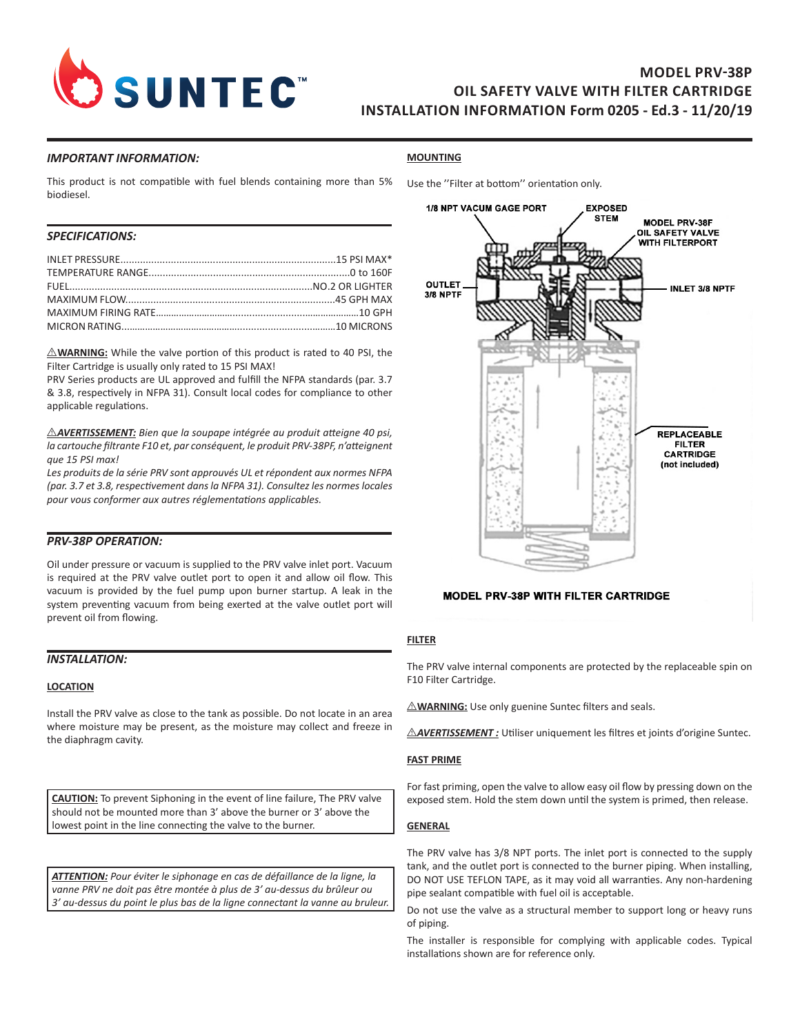

# **MODEL PRV-38P OIL SAFETY VALVE WITH FILTER CARTRIDGE INSTALLATION INFORMATION Form 0205 - Ed.3 - 11/20/19**

## *IMPORTANT INFORMATION:*

## **MOUNTING**

This product is not compatible with fuel blends containing more than 5% biodiesel.

# *SPECIFICATIONS:*

 $\triangle$ WARNING: While the valve portion of this product is rated to 40 PSI, the Filter Cartridge is usually only rated to 15 PSI MAX!

PRV Series products are UL approved and fulfill the NFPA standards (par. 3.7 & 3.8, respectively in NFPA 31). Consult local codes for compliance to other applicable regulations.

**AVERTISSEMENT:** Bien que la soupape intégrée au produit atteigne 40 psi, *la cartouche filtrante F10 et, par conséquent, le produit PRV-38PF, n'atteignent que 15 PSI max!* 

*Les produits de la série PRV sont approuvés UL et répondent aux normes NFPA (par. 3.7 et 3.8, respectivement dans la NFPA 31). Consultez les normes locales pour vous conformer aux autres réglementations applicables.*

### *PRV-38P OPERATION:*

Oil under pressure or vacuum is supplied to the PRV valve inlet port. Vacuum is required at the PRV valve outlet port to open it and allow oil flow. This vacuum is provided by the fuel pump upon burner startup. A leak in the system preventing vacuum from being exerted at the valve outlet port will prevent oil from flowing.

### *INSTALLATION:*

### **LOCATION**

Install the PRV valve as close to the tank as possible. Do not locate in an area where moisture may be present, as the moisture may collect and freeze in the diaphragm cavity.

**CAUTION:** To prevent Siphoning in the event of line failure, The PRV valve should not be mounted more than 3' above the burner or 3' above the lowest point in the line connecting the valve to the burner.

*ATTENTION: Pour éviter le siphonage en cas de défaillance de la ligne, la vanne PRV ne doit pas être montée à plus de 3' au-dessus du brûleur ou 3' au-dessus du point le plus bas de la ligne connectant la vanne au bruleur.*



## **MODEL PRV-38P WITH FILTER CARTRIDGE**

## **FILTER**

The PRV valve internal components are protected by the replaceable spin on F10 Filter Cartridge.

 $\triangle$ **WARNING:** Use only guenine Suntec filters and seals.

**AVERTISSEMENT**: Utiliser uniquement les filtres et joints d'origine Suntec.

#### **FAST PRIME**

For fast priming, open the valve to allow easy oil flow by pressing down on the exposed stem. Hold the stem down until the system is primed, then release.

### **GENERAL**

The PRV valve has 3/8 NPT ports. The inlet port is connected to the supply tank, and the outlet port is connected to the burner piping. When installing, DO NOT USE TEFLON TAPE, as it may void all warranties. Any non-hardening pipe sealant compatible with fuel oil is acceptable.

Do not use the valve as a structural member to support long or heavy runs of piping.

The installer is responsible for complying with applicable codes. Typical installations shown are for reference only.